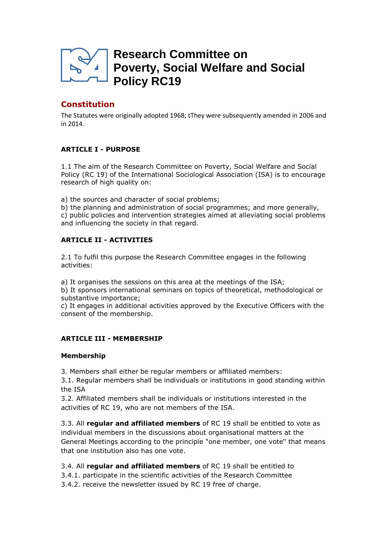

# **Research Committee on Poverty, Social Welfare and Social Policy RC19**

# **Constitution**

The Statutes were originally adopted 1968; tThey were subsequently amended in 2006 and in 2014.

# **ARTICLE I - PURPOSE**

1.1 The aim of the Research Committee on Poverty, Social Welfare and Social Policy (RC 19) of the International Sociological Association (ISA) is to encourage research of high quality on:

a) the sources and character of social problems;

b) the planning and administration of social programmes; and more generally, c) public policies and intervention strategies aimed at alleviating social problems and influencing the society in that regard.

# **ARTICLE II - ACTIVITIES**

2.1 To fulfil this purpose the Research Committee engages in the following activities:

a) It organises the sessions on this area at the meetings of the ISA;

b) It sponsors international seminars on topics of theoretical, methodological or substantive importance;

c) It engages in additional activities approved by the Executive Officers with the consent of the membership.

# **ARTICLE III - MEMBERSHIP**

## **Membership**

3. Members shall either be regular members or affiliated members:

3.1. Regular members shall be individuals or institutions in good standing within the ISA

3.2. Affiliated members shall be individuals or institutions interested in the activities of RC 19, who are not members of the ISA.

3.3. All **regular and affiliated members** of RC 19 shall be entitled to vote as individual members in the discussions about organisational matters at the General Meetings according to the principle "one member, one vote" that means that one institution also has one vote.

3.4. All **regular and affiliated members** of RC 19 shall be entitled to 3.4.1. participate in the scientific activities of the Research Committee 3.4.2. receive the newsletter issued by RC 19 free of charge.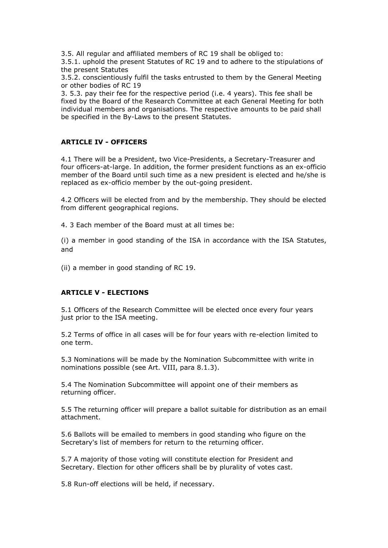3.5. All regular and affiliated members of RC 19 shall be obliged to:

3.5.1. uphold the present Statutes of RC 19 and to adhere to the stipulations of the present Statutes

3.5.2. conscientiously fulfil the tasks entrusted to them by the General Meeting or other bodies of RC 19

3. 5.3. pay their fee for the respective period (i.e. 4 years). This fee shall be fixed by the Board of the Research Committee at each General Meeting for both individual members and organisations. The respective amounts to be paid shall be specified in the By-Laws to the present Statutes.

## **ARTICLE IV - OFFICERS**

4.1 There will be a President, two Vice-Presidents, a Secretary-Treasurer and four officers-at-large. In addition, the former president functions as an ex-officio member of the Board until such time as a new president is elected and he/she is replaced as ex-officio member by the out-going president.

4.2 Officers will be elected from and by the membership. They should be elected from different geographical regions.

4. 3 Each member of the Board must at all times be:

(i) a member in good standing of the ISA in accordance with the ISA Statutes, and

(ii) a member in good standing of RC 19.

#### **ARTICLE V - ELECTIONS**

5.1 Officers of the Research Committee will be elected once every four years just prior to the ISA meeting.

5.2 Terms of office in all cases will be for four years with re-election limited to one term.

5.3 Nominations will be made by the Nomination Subcommittee with write in nominations possible (see Art. VIII, para 8.1.3).

5.4 The Nomination Subcommittee will appoint one of their members as returning officer.

5.5 The returning officer will prepare a ballot suitable for distribution as an email attachment.

5.6 Ballots will be emailed to members in good standing who figure on the Secretary's list of members for return to the returning officer.

5.7 A majority of those voting will constitute election for President and Secretary. Election for other officers shall be by plurality of votes cast.

5.8 Run-off elections will be held, if necessary.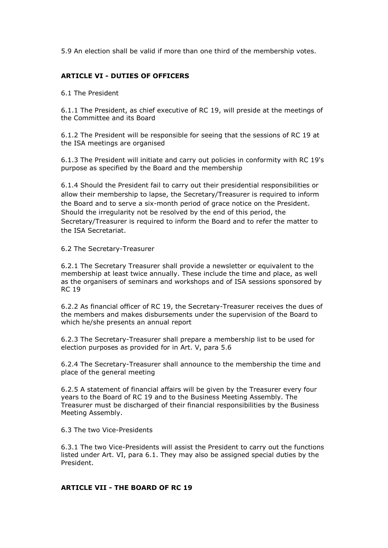5.9 An election shall be valid if more than one third of the membership votes.

## **ARTICLE VI - DUTIES OF OFFICERS**

6.1 The President

6.1.1 The President, as chief executive of RC 19, will preside at the meetings of the Committee and its Board

6.1.2 The President will be responsible for seeing that the sessions of RC 19 at the ISA meetings are organised

6.1.3 The President will initiate and carry out policies in conformity with RC 19's purpose as specified by the Board and the membership

6.1.4 Should the President fail to carry out their presidential responsibilities or allow their membership to lapse, the Secretary/Treasurer is required to inform the Board and to serve a six-month period of grace notice on the President. Should the irregularity not be resolved by the end of this period, the Secretary/Treasurer is required to inform the Board and to refer the matter to the ISA Secretariat.

6.2 The Secretary-Treasurer

6.2.1 The Secretary Treasurer shall provide a newsletter or equivalent to the membership at least twice annually. These include the time and place, as well as the organisers of seminars and workshops and of ISA sessions sponsored by RC 19

6.2.2 As financial officer of RC 19, the Secretary-Treasurer receives the dues of the members and makes disbursements under the supervision of the Board to which he/she presents an annual report

6.2.3 The Secretary-Treasurer shall prepare a membership list to be used for election purposes as provided for in Art. V, para 5.6

6.2.4 The Secretary-Treasurer shall announce to the membership the time and place of the general meeting

6.2.5 A statement of financial affairs will be given by the Treasurer every four years to the Board of RC 19 and to the Business Meeting Assembly. The Treasurer must be discharged of their financial responsibilities by the Business Meeting Assembly.

6.3 The two Vice-Presidents

6.3.1 The two Vice-Presidents will assist the President to carry out the functions listed under Art. VI, para 6.1. They may also be assigned special duties by the President.

#### **ARTICLE VII - THE BOARD OF RC 19**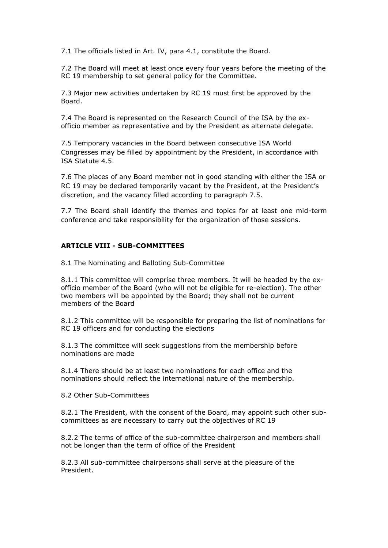7.1 The officials listed in Art. IV, para 4.1, constitute the Board.

7.2 The Board will meet at least once every four years before the meeting of the RC 19 membership to set general policy for the Committee.

7.3 Major new activities undertaken by RC 19 must first be approved by the Board.

7.4 The Board is represented on the Research Council of the ISA by the exofficio member as representative and by the President as alternate delegate.

7.5 Temporary vacancies in the Board between consecutive ISA World Congresses may be filled by appointment by the President, in accordance with ISA Statute 4.5.

7.6 The places of any Board member not in good standing with either the ISA or RC 19 may be declared temporarily vacant by the President, at the President's discretion, and the vacancy filled according to paragraph 7.5.

7.7 The Board shall identify the themes and topics for at least one mid-term conference and take responsibility for the organization of those sessions.

## **ARTICLE VIII - SUB-COMMITTEES**

8.1 The Nominating and Balloting Sub-Committee

8.1.1 This committee will comprise three members. It will be headed by the exofficio member of the Board (who will not be eligible for re-election). The other two members will be appointed by the Board; they shall not be current members of the Board

8.1.2 This committee will be responsible for preparing the list of nominations for RC 19 officers and for conducting the elections

8.1.3 The committee will seek suggestions from the membership before nominations are made

8.1.4 There should be at least two nominations for each office and the nominations should reflect the international nature of the membership.

8.2 Other Sub-Committees

8.2.1 The President, with the consent of the Board, may appoint such other subcommittees as are necessary to carry out the objectives of RC 19

8.2.2 The terms of office of the sub-committee chairperson and members shall not be longer than the term of office of the President

8.2.3 All sub-committee chairpersons shall serve at the pleasure of the President.